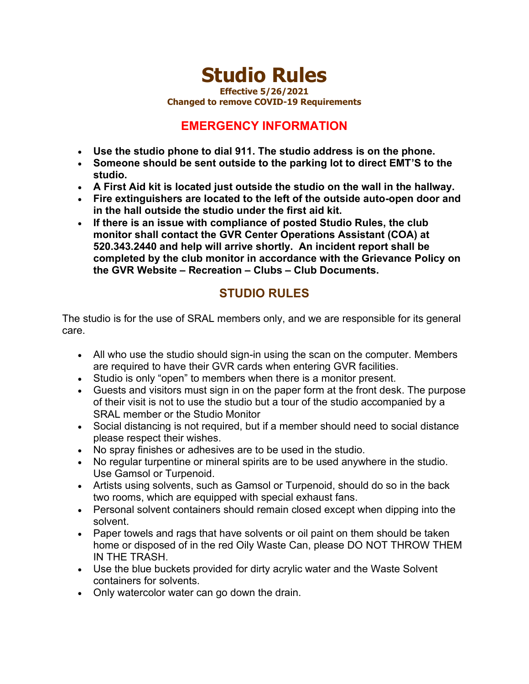## **Studio Rules**

**Effective 5/26/2021**

**Changed to remove COVID-19 Requirements**

## **EMERGENCY INFORMATION**

- **Use the studio phone to dial 911. The studio address is on the phone.**
- **Someone should be sent outside to the parking lot to direct EMT'S to the studio.**
- **A First Aid kit is located just outside the studio on the wall in the hallway.**
- **Fire extinguishers are located to the left of the outside auto-open door and in the hall outside the studio under the first aid kit.**
- **If there is an issue with compliance of posted Studio Rules, the club monitor shall contact the GVR Center Operations Assistant (COA) at 520.343.2440 and help will arrive shortly. An incident report shall be completed by the club monitor in accordance with the Grievance Policy on the GVR Website – Recreation – Clubs – Club Documents.**

## **STUDIO RULES**

The studio is for the use of SRAL members only, and we are responsible for its general care.

- All who use the studio should sign-in using the scan on the computer. Members are required to have their GVR cards when entering GVR facilities.
- Studio is only "open" to members when there is a monitor present.
- Guests and visitors must sign in on the paper form at the front desk. The purpose of their visit is not to use the studio but a tour of the studio accompanied by a SRAL member or the Studio Monitor
- Social distancing is not required, but if a member should need to social distance please respect their wishes.
- No spray finishes or adhesives are to be used in the studio.
- No regular turpentine or mineral spirits are to be used anywhere in the studio. Use Gamsol or Turpenoid.
- Artists using solvents, such as Gamsol or Turpenoid, should do so in the back two rooms, which are equipped with special exhaust fans.
- Personal solvent containers should remain closed except when dipping into the solvent.
- Paper towels and rags that have solvents or oil paint on them should be taken home or disposed of in the red Oily Waste Can, please DO NOT THROW THEM IN THE TRASH.
- Use the blue buckets provided for dirty acrylic water and the Waste Solvent containers for solvents.
- Only watercolor water can go down the drain.